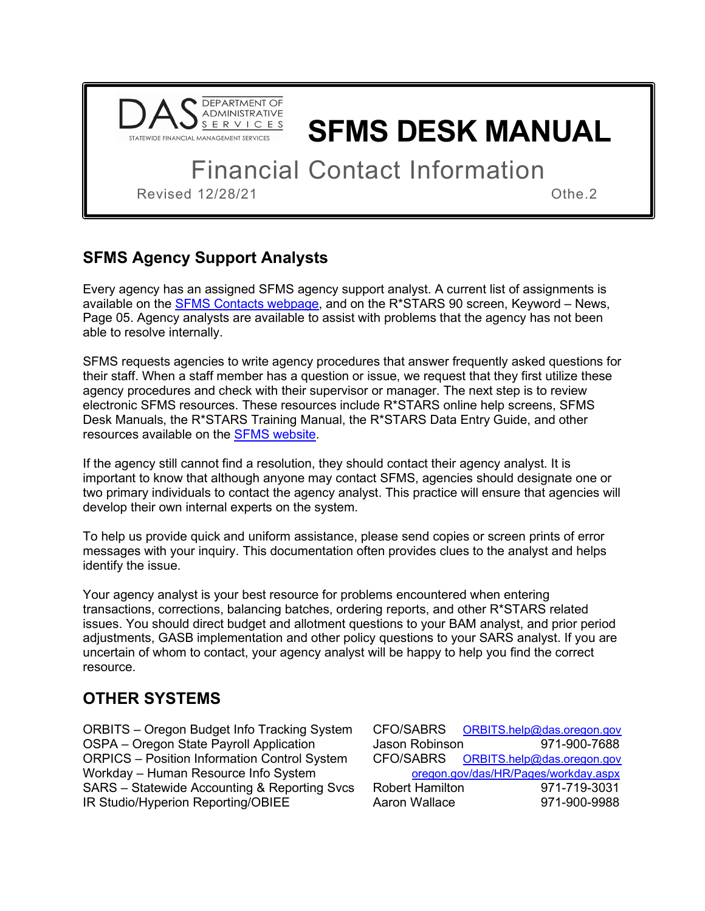

# **SFMS DESK MANUAL**

Financial Contact Information

Revised 12/28/21 Cheese Service School and the Community of the 2

### **SFMS Agency Support Analysts**

Every agency has an assigned SFMS agency support analyst. A current list of assignments is available on the **SFMS Contacts webpage**, and on the R<sup>\*</sup>STARS 90 screen, Keyword – News, Page 05. Agency analysts are available to assist with problems that the agency has not been able to resolve internally.

SFMS requests agencies to write agency procedures that answer frequently asked questions for their staff. When a staff member has a question or issue, we request that they first utilize these agency procedures and check with their supervisor or manager. The next step is to review electronic SFMS resources. These resources include R\*STARS online help screens, SFMS Desk Manuals, the R\*STARS Training Manual, the R\*STARS Data Entry Guide, and other resources available on the [SFMS website.](https://www.oregon.gov/das/Financial/AcctgSys/Pages/index.aspx)

If the agency still cannot find a resolution, they should contact their agency analyst. It is important to know that although anyone may contact SFMS, agencies should designate one or two primary individuals to contact the agency analyst. This practice will ensure that agencies will develop their own internal experts on the system.

To help us provide quick and uniform assistance, please send copies or screen prints of error messages with your inquiry. This documentation often provides clues to the analyst and helps identify the issue.

Your agency analyst is your best resource for problems encountered when entering transactions, corrections, balancing batches, ordering reports, and other R\*STARS related issues. You should direct budget and allotment questions to your BAM analyst, and prior period adjustments, GASB implementation and other policy questions to your SARS analyst. If you are uncertain of whom to contact, your agency analyst will be happy to help you find the correct resource.

#### **OTHER SYSTEMS**

ORBITS – Oregon Budget Info Tracking System OSPA – Oregon State Payroll Application ORPICS – Position Information Control System Workday – Human Resource Info System. SARS – Statewide Accounting & Reporting Svcs IR Studio/Hyperion Reporting/OBIEE

|                                      | CFO/SABRS ORBITS.help@das.oregon.gov |  |  |
|--------------------------------------|--------------------------------------|--|--|
| Jason Robinson                       | 971-900-7688                         |  |  |
|                                      | CFO/SABRS ORBITS.help@das.oregon.gov |  |  |
| oregon.gov/das/HR/Pages/workday.aspx |                                      |  |  |
| <b>Robert Hamilton</b>               | 971-719-3031                         |  |  |
| Aaron Wallace                        | 971-900-9988                         |  |  |
|                                      |                                      |  |  |